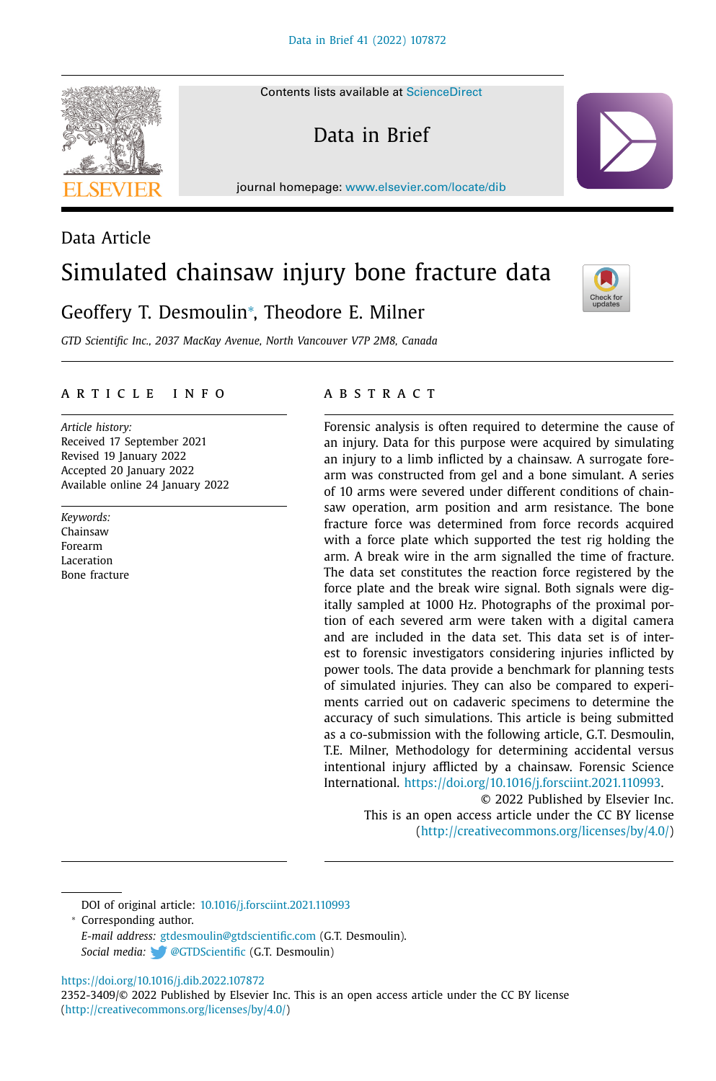Contents lists available at [ScienceDirect](http://www.ScienceDirect.com)

Data in Brief

journal homepage: [www.elsevier.com/locate/dib](http://www.elsevier.com/locate/dib)

# Data Article Simulated chainsaw injury bone fracture data

## Geoffery T. Desmoulin<sup>∗</sup> , Theodore E. Milner

*GTD Scientific Inc., 2037 MacKay Avenue, North Vancouver V7P 2M8, Canada*

## A R T I C L E I N F O

*Article history:* Received 17 September 2021 Revised 19 January 2022 Accepted 20 January 2022 Available online 24 January 2022

*Keywords:* Chainsaw Forearm Laceration Bone fracture

#### a b s t r a c t

Forensic analysis is often required to determine the cause of an injury. Data for this purpose were acquired by simulating an injury to a limb inflicted by a chainsaw. A surrogate forearm was constructed from gel and a bone simulant. A series of 10 arms were severed under different conditions of chainsaw operation, arm position and arm resistance. The bone fracture force was determined from force records acquired with a force plate which supported the test rig holding the arm. A break wire in the arm signalled the time of fracture. The data set constitutes the reaction force registered by the force plate and the break wire signal. Both signals were digitally sampled at 1000 Hz. Photographs of the proximal portion of each severed arm were taken with a digital camera and are included in the data set. This data set is of interest to forensic investigators considering injuries inflicted by power tools. The data provide a benchmark for planning tests of simulated injuries. They can also be compared to experiments carried out on cadaveric specimens to determine the accuracy of such simulations. This article is being submitted as a co-submission with the following article, G.T. Desmoulin, T.E. Milner, Methodology for determining accidental versus intentional injury afflicted by a chainsaw. Forensic Science International. [https://doi.org/10.1016/j.forsciint.2021.110993.](https://doi.org/10.1016/j.forsciint.2021.110993)

> © 2022 Published by Elsevier Inc. This is an open access article under the CC BY license [\(http://creativecommons.org/licenses/by/4.0/\)](http://creativecommons.org/licenses/by/4.0/)

DOI of original article: [10.1016/j.forsciint.2021.110993](https://doi.org/10.1016/j.forsciint.2021.110993)

<sup>∗</sup> Corresponding author. *E-mail address:* [gtdesmoulin@gtdscientific.com](mailto:gtdesmoulin@gtdscientific.com) (G.T. Desmoulin). *Social media:* [@GTDScientific](https://twitter.com/GTDScientific) (G.T. Desmoulin)

<https://doi.org/10.1016/j.dib.2022.107872>

2352-3409/© 2022 Published by Elsevier Inc. This is an open access article under the CC BY license [\(http://creativecommons.org/licenses/by/4.0/\)](http://creativecommons.org/licenses/by/4.0/)





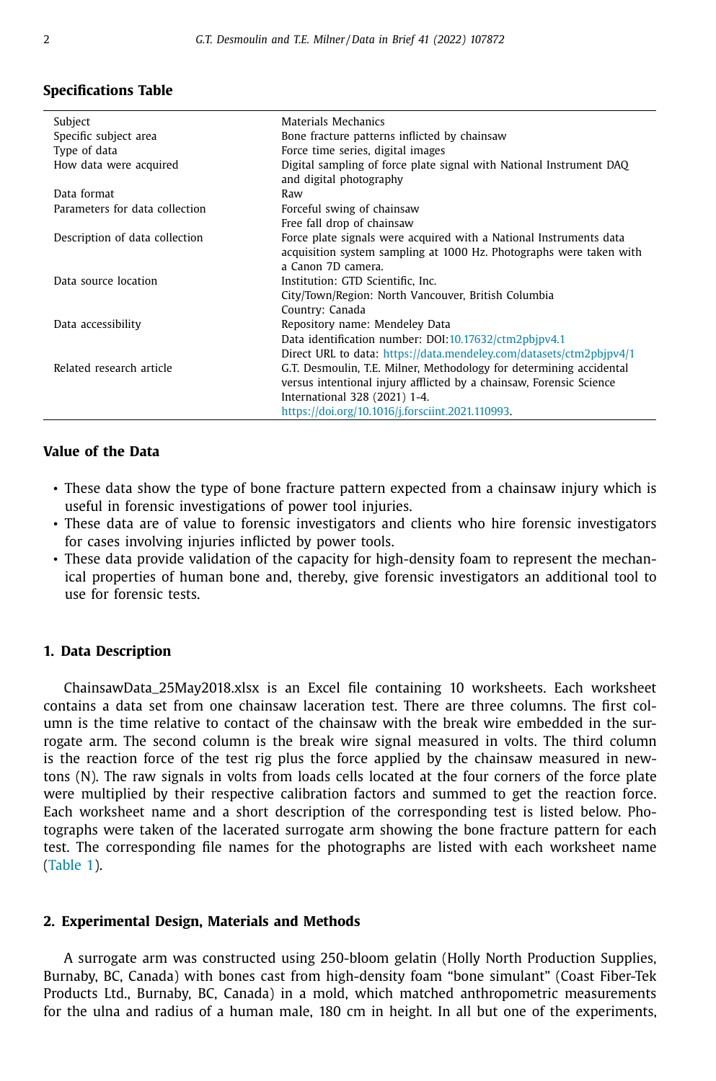## **Specifications Table**

| Subject                        | Materials Mechanics                                                                                                                        |  |
|--------------------------------|--------------------------------------------------------------------------------------------------------------------------------------------|--|
| Specific subject area          | Bone fracture patterns inflicted by chainsaw                                                                                               |  |
| Type of data                   | Force time series, digital images                                                                                                          |  |
| How data were acquired         | Digital sampling of force plate signal with National Instrument DAQ<br>and digital photography                                             |  |
| Data format                    | Raw                                                                                                                                        |  |
| Parameters for data collection | Forceful swing of chainsaw                                                                                                                 |  |
|                                | Free fall drop of chainsaw                                                                                                                 |  |
| Description of data collection | Force plate signals were acquired with a National Instruments data                                                                         |  |
|                                | acquisition system sampling at 1000 Hz. Photographs were taken with                                                                        |  |
|                                | a Canon 7D camera.                                                                                                                         |  |
| Data source location           | Institution: GTD Scientific, Inc.                                                                                                          |  |
|                                | City/Town/Region: North Vancouver, British Columbia                                                                                        |  |
|                                | Country: Canada                                                                                                                            |  |
| Data accessibility             | Repository name: Mendeley Data                                                                                                             |  |
|                                | Data identification number: DOI:10.17632/ctm2pbjpv4.1                                                                                      |  |
|                                | Direct URL to data: https://data.mendeley.com/datasets/ctm2pbjpv4/1                                                                        |  |
| Related research article       | G.T. Desmoulin, T.E. Milner, Methodology for determining accidental<br>versus intentional injury afflicted by a chainsaw, Forensic Science |  |
|                                |                                                                                                                                            |  |
|                                | International 328 (2021) 1-4.                                                                                                              |  |
|                                | https://doi.org/10.1016/j.forsciint.2021.110993.                                                                                           |  |

## **Value of the Data**

- These data show the type of bone fracture pattern expected from a chainsaw injury which is useful in forensic investigations of power tool injuries.
- These data are of value to forensic investigators and clients who hire forensic investigators for cases involving injuries inflicted by power tools.
- These data provide validation of the capacity for high-density foam to represent the mechanical properties of human bone and, thereby, give forensic investigators an additional tool to use for forensic tests.

#### **1. Data Description**

ChainsawData\_25May2018.xlsx is an Excel file containing 10 worksheets. Each worksheet contains a data set from one chainsaw laceration test. There are three columns. The first column is the time relative to contact of the chainsaw with the break wire embedded in the surrogate arm. The second column is the break wire signal measured in volts. The third column is the reaction force of the test rig plus the force applied by the chainsaw measured in newtons (N). The raw signals in volts from loads cells located at the four corners of the force plate were multiplied by their respective calibration factors and summed to get the reaction force. Each worksheet name and a short description of the corresponding test is listed below. Photographs were taken of the lacerated surrogate arm showing the bone fracture pattern for each test. The corresponding file names for the photographs are listed with each worksheet name [\(Table](#page-2-0) 1).

#### **2. Experimental Design, Materials and Methods**

A surrogate arm was constructed using 250-bloom gelatin (Holly North Production Supplies, Burnaby, BC, Canada) with bones cast from high-density foam "bone simulant" (Coast Fiber-Tek Products Ltd., Burnaby, BC, Canada) in a mold, which matched anthropometric measurements for the ulna and radius of a human male, 180 cm in height. In all but one of the experiments,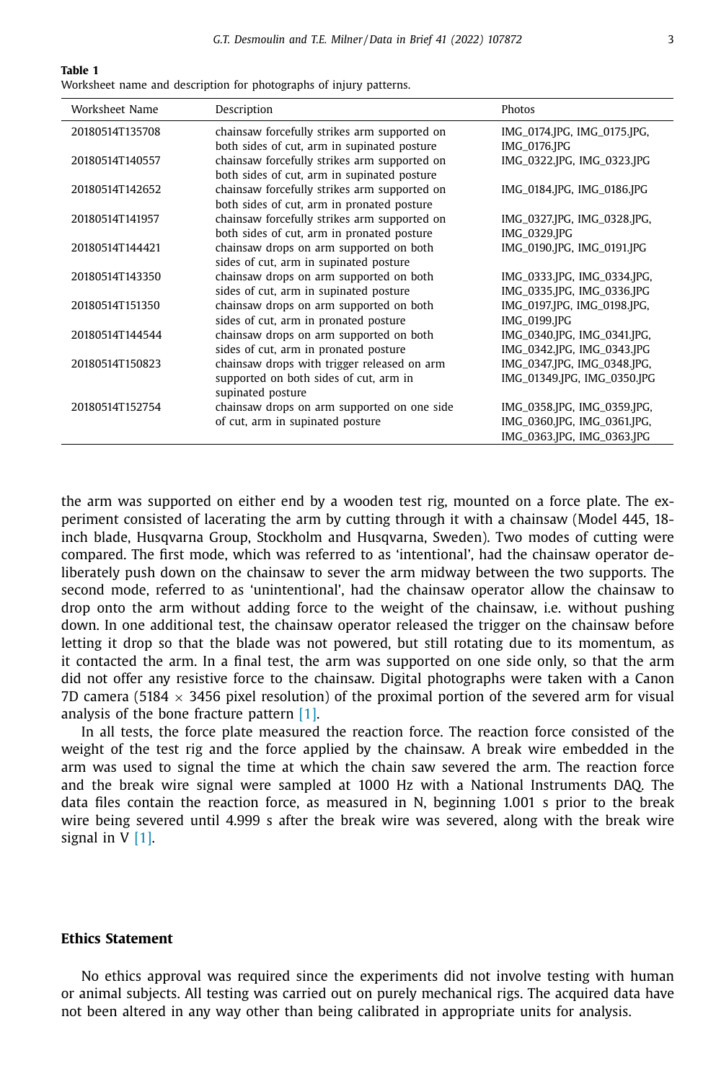<span id="page-2-0"></span>**Table 1**

Worksheet name and description for photographs of injury patterns.

| Worksheet Name  | Description                                  | Photos                      |
|-----------------|----------------------------------------------|-----------------------------|
| 20180514T135708 | chainsaw forcefully strikes arm supported on | IMG_0174.JPG, IMG_0175.JPG, |
|                 | both sides of cut, arm in supinated posture  | IMG_0176.JPG                |
| 20180514T140557 | chainsaw forcefully strikes arm supported on | IMG_0322.JPG, IMG_0323.JPG  |
|                 | both sides of cut, arm in supinated posture  |                             |
| 20180514T142652 | chainsaw forcefully strikes arm supported on | IMG_0184.JPG, IMG_0186.JPG  |
|                 | both sides of cut, arm in pronated posture   |                             |
| 20180514T141957 | chainsaw forcefully strikes arm supported on | IMG_0327.JPG, IMG_0328.JPG, |
|                 | both sides of cut, arm in pronated posture   | IMG_0329.JPG                |
| 20180514T144421 | chainsaw drops on arm supported on both      | IMG_0190.JPG, IMG_0191.JPG  |
|                 | sides of cut, arm in supinated posture       |                             |
| 20180514T143350 | chainsaw drops on arm supported on both      | IMG_0333.JPG, IMG_0334.JPG, |
|                 | sides of cut, arm in supinated posture       | IMG_0335.JPG, IMG_0336.JPG  |
| 20180514T151350 | chainsaw drops on arm supported on both      | IMG_0197.JPG, IMG_0198.JPG, |
|                 | sides of cut, arm in pronated posture        | IMG_0199.JPG                |
| 20180514T144544 | chainsaw drops on arm supported on both      | IMG_0340.JPG, IMG_0341.JPG, |
|                 | sides of cut, arm in pronated posture        | IMG_0342.JPG, IMG_0343.JPG  |
| 20180514T150823 | chainsaw drops with trigger released on arm  | IMG_0347.JPG, IMG_0348.JPG, |
|                 | supported on both sides of cut, arm in       | IMG_01349.JPG, IMG_0350.JPG |
|                 | supinated posture                            |                             |
| 20180514T152754 | chainsaw drops on arm supported on one side  | IMG_0358.JPG, IMG_0359.JPG, |
|                 | of cut, arm in supinated posture             | IMG_0360.JPG, IMG_0361.JPG, |
|                 |                                              | IMG_0363.JPG, IMG_0363.JPG  |

the arm was supported on either end by a wooden test rig, mounted on a force plate. The experiment consisted of lacerating the arm by cutting through it with a chainsaw (Model 445, 18 inch blade, Husqvarna Group, Stockholm and Husqvarna, Sweden). Two modes of cutting were compared. The first mode, which was referred to as 'intentional', had the chainsaw operator deliberately push down on the chainsaw to sever the arm midway between the two supports. The second mode, referred to as 'unintentional', had the chainsaw operator allow the chainsaw to drop onto the arm without adding force to the weight of the chainsaw, i.e. without pushing down. In one additional test, the chainsaw operator released the trigger on the chainsaw before letting it drop so that the blade was not powered, but still rotating due to its momentum, as it contacted the arm. In a final test, the arm was supported on one side only, so that the arm did not offer any resistive force to the chainsaw. Digital photographs were taken with a Canon 7D camera (5184  $\times$  3456 pixel resolution) of the proximal portion of the severed arm for visual analysis of the bone fracture pattern [\[1\].](#page-3-0)

In all tests, the force plate measured the reaction force. The reaction force consisted of the weight of the test rig and the force applied by the chainsaw. A break wire embedded in the arm was used to signal the time at which the chain saw severed the arm. The reaction force and the break wire signal were sampled at 1000 Hz with a National Instruments DAQ. The data files contain the reaction force, as measured in N, beginning 1.001 s prior to the break wire being severed until 4.999 s after the break wire was severed, along with the break wire signal in V [\[1\].](#page-3-0)

## **Ethics Statement**

No ethics approval was required since the experiments did not involve testing with human or animal subjects. All testing was carried out on purely mechanical rigs. The acquired data have not been altered in any way other than being calibrated in appropriate units for analysis.